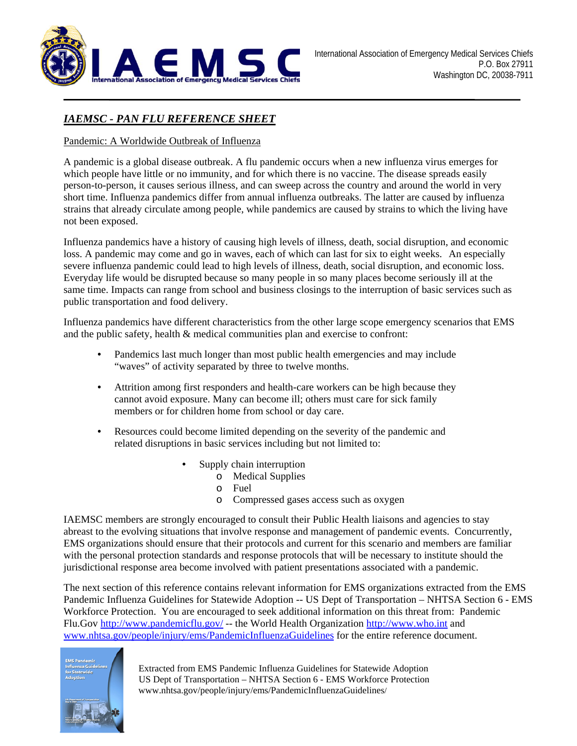

# *IAEMSC - PAN FLU REFERENCE SHEET*

#### Pandemic: A Worldwide Outbreak of Influenza

A pandemic is a global disease outbreak. A flu pandemic occurs when a new influenza virus emerges for which people have little or no immunity, and for which there is no vaccine. The disease spreads easily person-to-person, it causes serious illness, and can sweep across the country and around the world in very short time. Influenza pandemics differ from annual influenza outbreaks. The latter are caused by influenza strains that already circulate among people, while pandemics are caused by strains to which the living have not been exposed.

Influenza pandemics have a history of causing high levels of illness, death, social disruption, and economic loss. A pandemic may come and go in waves, each of which can last for six to eight weeks. An especially severe influenza pandemic could lead to high levels of illness, death, social disruption, and economic loss. Everyday life would be disrupted because so many people in so many places become seriously ill at the same time. Impacts can range from school and business closings to the interruption of basic services such as public transportation and food delivery.

Influenza pandemics have different characteristics from the other large scope emergency scenarios that EMS and the public safety, health & medical communities plan and exercise to confront:

- Pandemics last much longer than most public health emergencies and may include "waves" of activity separated by three to twelve months.
- Attrition among first responders and health-care workers can be high because they cannot avoid exposure. Many can become ill; others must care for sick family members or for children home from school or day care.
- Resources could become limited depending on the severity of the pandemic and related disruptions in basic services including but not limited to:
	- Supply chain interruption
		- o Medical Supplies
			- o Fuel
			- o Compressed gases access such as oxygen

IAEMSC members are strongly encouraged to consult their Public Health liaisons and agencies to stay abreast to the evolving situations that involve response and management of pandemic events. Concurrently, EMS organizations should ensure that their protocols and current for this scenario and members are familiar with the personal protection standards and response protocols that will be necessary to institute should the jurisdictional response area become involved with patient presentations associated with a pandemic.

The next section of this reference contains relevant information for EMS organizations extracted from the EMS Pandemic Influenza Guidelines for Statewide Adoption -- US Dept of Transportation – NHTSA Section 6 - EMS Workforce Protection. You are encouraged to seek additional information on this threat from: Pandemic Flu.Gov http://www.pandemicflu.gov/ -- the World Health Organization http://www.who.int and www.nhtsa.gov/people/injury/ems/PandemicInfluenzaGuidelines for the entire reference document.

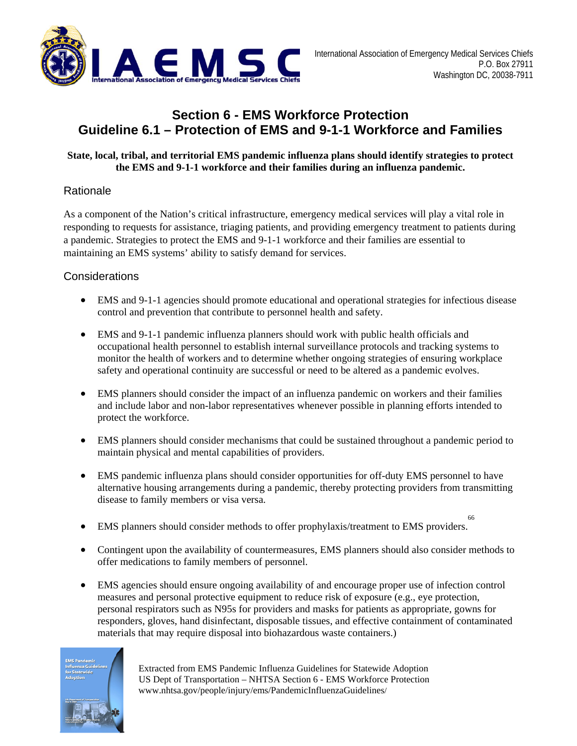

# **Section 6 - EMS Workforce Protection Guideline 6.1 – Protection of EMS and 9-1-1 Workforce and Families**

#### **State, local, tribal, and territorial EMS pandemic influenza plans should identify strategies to protect the EMS and 9-1-1 workforce and their families during an influenza pandemic.**

# **Rationale**

As a component of the Nation's critical infrastructure, emergency medical services will play a vital role in responding to requests for assistance, triaging patients, and providing emergency treatment to patients during a pandemic. Strategies to protect the EMS and 9-1-1 workforce and their families are essential to maintaining an EMS systems' ability to satisfy demand for services.

# **Considerations**

- EMS and 9-1-1 agencies should promote educational and operational strategies for infectious disease control and prevention that contribute to personnel health and safety.
- EMS and 9-1-1 pandemic influenza planners should work with public health officials and occupational health personnel to establish internal surveillance protocols and tracking systems to monitor the health of workers and to determine whether ongoing strategies of ensuring workplace safety and operational continuity are successful or need to be altered as a pandemic evolves.
- EMS planners should consider the impact of an influenza pandemic on workers and their families and include labor and non-labor representatives whenever possible in planning efforts intended to protect the workforce.
- EMS planners should consider mechanisms that could be sustained throughout a pandemic period to maintain physical and mental capabilities of providers.
- EMS pandemic influenza plans should consider opportunities for off-duty EMS personnel to have alternative housing arrangements during a pandemic, thereby protecting providers from transmitting disease to family members or visa versa.
- EMS planners should consider methods to offer prophylaxis/treatment to EMS providers. 66
- Contingent upon the availability of countermeasures, EMS planners should also consider methods to offer medications to family members of personnel.
- EMS agencies should ensure ongoing availability of and encourage proper use of infection control measures and personal protective equipment to reduce risk of exposure (e.g., eye protection, personal respirators such as N95s for providers and masks for patients as appropriate, gowns for responders, gloves, hand disinfectant, disposable tissues, and effective containment of contaminated materials that may require disposal into biohazardous waste containers.)

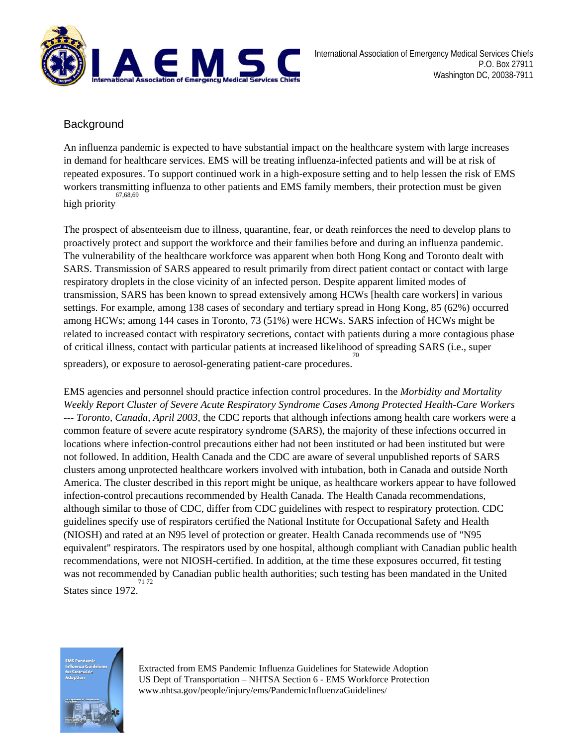

# **Background**

An influenza pandemic is expected to have substantial impact on the healthcare system with large increases in demand for healthcare services. EMS will be treating influenza-infected patients and will be at risk of repeated exposures. To support continued work in a high-exposure setting and to help lessen the risk of EMS workers transmitting influenza to other patients and EMS family members, their protection must be given high priority 67,68,69

The prospect of absenteeism due to illness, quarantine, fear, or death reinforces the need to develop plans to proactively protect and support the workforce and their families before and during an influenza pandemic. The vulnerability of the healthcare workforce was apparent when both Hong Kong and Toronto dealt with SARS. Transmission of SARS appeared to result primarily from direct patient contact or contact with large respiratory droplets in the close vicinity of an infected person. Despite apparent limited modes of transmission, SARS has been known to spread extensively among HCWs [health care workers] in various settings. For example, among 138 cases of secondary and tertiary spread in Hong Kong, 85 (62%) occurred among HCWs; among 144 cases in Toronto, 73 (51%) were HCWs. SARS infection of HCWs might be related to increased contact with respiratory secretions, contact with patients during a more contagious phase of critical illness, contact with particular patients at increased likelihood of spreading SARS (i.e., super 70

spreaders), or exposure to aerosol-generating patient-care procedures.

EMS agencies and personnel should practice infection control procedures. In the *Morbidity and Mortality Weekly Report Cluster of Severe Acute Respiratory Syndrome Cases Among Protected Health-Care Workers --- Toronto, Canada, April 2003*, the CDC reports that although infections among health care workers were a common feature of severe acute respiratory syndrome (SARS), the majority of these infections occurred in locations where infection-control precautions either had not been instituted or had been instituted but were not followed. In addition, Health Canada and the CDC are aware of several unpublished reports of SARS clusters among unprotected healthcare workers involved with intubation, both in Canada and outside North America. The cluster described in this report might be unique, as healthcare workers appear to have followed infection-control precautions recommended by Health Canada. The Health Canada recommendations, although similar to those of CDC, differ from CDC guidelines with respect to respiratory protection. CDC guidelines specify use of respirators certified the National Institute for Occupational Safety and Health (NIOSH) and rated at an N95 level of protection or greater. Health Canada recommends use of "N95 equivalent" respirators. The respirators used by one hospital, although compliant with Canadian public health recommendations, were not NIOSH-certified. In addition, at the time these exposures occurred, fit testing was not recommended by Canadian public health authorities; such testing has been mandated in the United States since 1972. 71 72

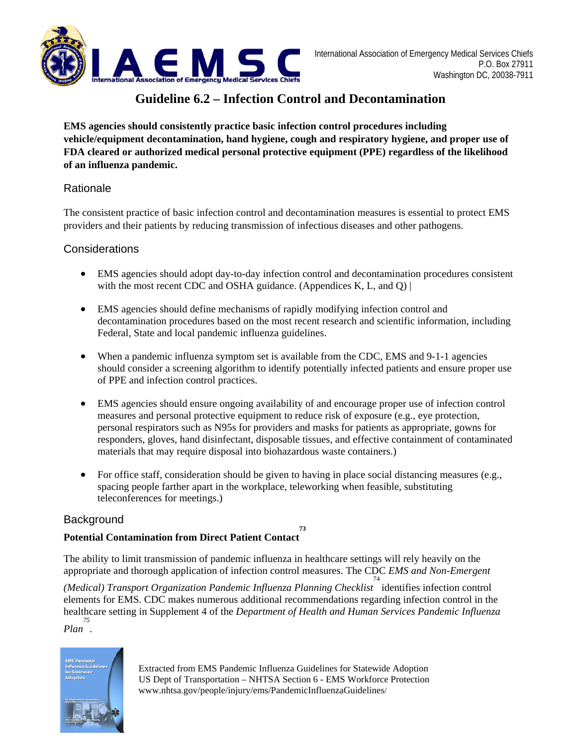

# **Guideline 6.2 – Infection Control and Decontamination**

**EMS agencies should consistently practice basic infection control procedures including vehicle/equipment decontamination, hand hygiene, cough and respiratory hygiene, and proper use of FDA cleared or authorized medical personal protective equipment (PPE) regardless of the likelihood of an influenza pandemic.** 

#### Rationale

The consistent practice of basic infection control and decontamination measures is essential to protect EMS providers and their patients by reducing transmission of infectious diseases and other pathogens.

#### **Considerations**

- EMS agencies should adopt day-to-day infection control and decontamination procedures consistent with the most recent CDC and OSHA guidance. (Appendices K, L, and  $Q$ ) |
- EMS agencies should define mechanisms of rapidly modifying infection control and decontamination procedures based on the most recent research and scientific information, including Federal, State and local pandemic influenza guidelines.
- When a pandemic influenza symptom set is available from the CDC, EMS and 9-1-1 agencies should consider a screening algorithm to identify potentially infected patients and ensure proper use of PPE and infection control practices.
- EMS agencies should ensure ongoing availability of and encourage proper use of infection control measures and personal protective equipment to reduce risk of exposure (e.g., eye protection, personal respirators such as N95s for providers and masks for patients as appropriate, gowns for responders, gloves, hand disinfectant, disposable tissues, and effective containment of contaminated materials that may require disposal into biohazardous waste containers.)
- For office staff, consideration should be given to having in place social distancing measures (e.g., spacing people farther apart in the workplace, teleworking when feasible, substituting teleconferences for meetings.)

**73** 

## **Background**

#### **Potential Contamination from Direct Patient Contact**

The ability to limit transmission of pandemic influenza in healthcare settings will rely heavily on the appropriate and thorough application of infection control measures. The CDC *EMS and Non-Emergent* 

*(Medical) Transport Organization Pandemic Influenza Planning Checklist* identifies infection control 74 elements for EMS. CDC makes numerous additional recommendations regarding infection control in the healthcare setting in Supplement 4 of the *Department of Health and Human Services Pandemic Influenza 75*

*Plan .* 

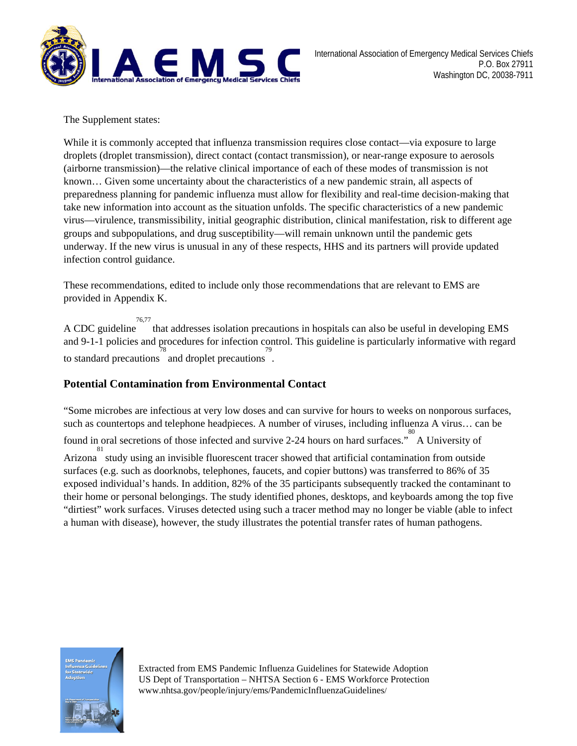

The Supplement states:

While it is commonly accepted that influenza transmission requires close contact—via exposure to large droplets (droplet transmission), direct contact (contact transmission), or near-range exposure to aerosols (airborne transmission)—the relative clinical importance of each of these modes of transmission is not known… Given some uncertainty about the characteristics of a new pandemic strain, all aspects of preparedness planning for pandemic influenza must allow for flexibility and real-time decision-making that take new information into account as the situation unfolds. The specific characteristics of a new pandemic virus—virulence, transmissibility, initial geographic distribution, clinical manifestation, risk to different age groups and subpopulations, and drug susceptibility—will remain unknown until the pandemic gets underway. If the new virus is unusual in any of these respects, HHS and its partners will provide updated infection control guidance.

These recommendations, edited to include only those recommendations that are relevant to EMS are provided in Appendix K.

A CDC guideline 76,77 that addresses isolation precautions in hospitals can also be useful in developing EMS and 9-1-1 policies and procedures for infection control. This guideline is particularly informative with regard to standard precautions and droplet precautions .

## **Potential Contamination from Environmental Contact**

"Some microbes are infectious at very low doses and can survive for hours to weeks on nonporous surfaces, such as countertops and telephone headpieces. A number of viruses, including influenza A virus... can be found in oral secretions of those infected and survive 2-24 hours on hard surfaces." A University of Arizona study using an invisible fluorescent tracer showed that artificial contamination from outside surfaces (e.g. such as doorknobs, telephones, faucets, and copier buttons) was transferred to 86% of 35 exposed individual's hands. In addition, 82% of the 35 participants subsequently tracked the contaminant to their home or personal belongings. The study identified phones, desktops, and keyboards among the top five "dirtiest" work surfaces. Viruses detected using such a tracer method may no longer be viable (able to infect a human with disease), however, the study illustrates the potential transfer rates of human pathogens.

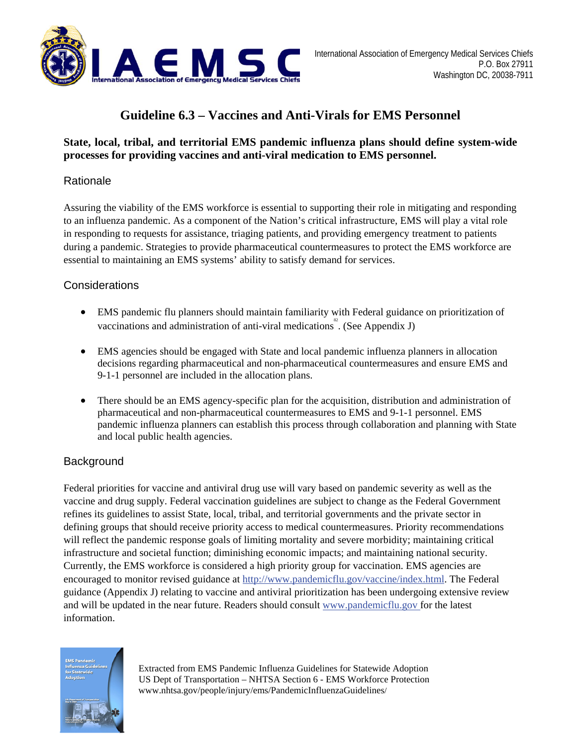

# **Guideline 6.3 – Vaccines and Anti-Virals for EMS Personnel**

# **State, local, tribal, and territorial EMS pandemic influenza plans should define system-wide processes for providing vaccines and anti-viral medication to EMS personnel.**

# Rationale

Assuring the viability of the EMS workforce is essential to supporting their role in mitigating and responding to an influenza pandemic. As a component of the Nation's critical infrastructure, EMS will play a vital role in responding to requests for assistance, triaging patients, and providing emergency treatment to patients during a pandemic. Strategies to provide pharmaceutical countermeasures to protect the EMS workforce are essential to maintaining an EMS systems' ability to satisfy demand for services.

## **Considerations**

- EMS pandemic flu planners should maintain familiarity with Federal guidance on prioritization of vaccinations and administration of anti-viral medications<sup>2</sup>. (See Appendix J)
- EMS agencies should be engaged with State and local pandemic influenza planners in allocation decisions regarding pharmaceutical and non-pharmaceutical countermeasures and ensure EMS and 9-1-1 personnel are included in the allocation plans.
- There should be an EMS agency-specific plan for the acquisition, distribution and administration of pharmaceutical and non-pharmaceutical countermeasures to EMS and 9-1-1 personnel. EMS pandemic influenza planners can establish this process through collaboration and planning with State and local public health agencies.

# **Background**

Federal priorities for vaccine and antiviral drug use will vary based on pandemic severity as well as the vaccine and drug supply. Federal vaccination guidelines are subject to change as the Federal Government refines its guidelines to assist State, local, tribal, and territorial governments and the private sector in defining groups that should receive priority access to medical countermeasures. Priority recommendations will reflect the pandemic response goals of limiting mortality and severe morbidity; maintaining critical infrastructure and societal function; diminishing economic impacts; and maintaining national security. Currently, the EMS workforce is considered a high priority group for vaccination. EMS agencies are encouraged to monitor revised guidance at http://www.pandemicflu.gov/vaccine/index.html. The Federal guidance (Appendix J) relating to vaccine and antiviral prioritization has been undergoing extensive review and will be updated in the near future. Readers should consult www.pandemicflu.gov for the latest information.

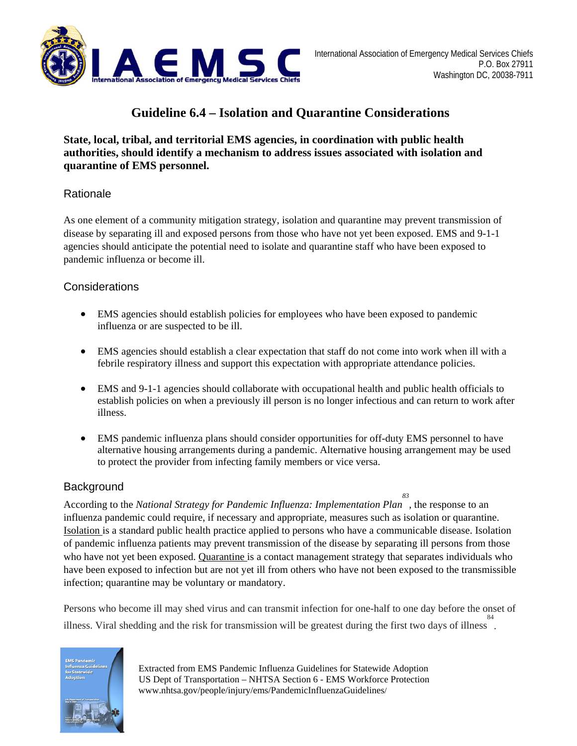

# **Guideline 6.4 – Isolation and Quarantine Considerations**

## **State, local, tribal, and territorial EMS agencies, in coordination with public health authorities, should identify a mechanism to address issues associated with isolation and quarantine of EMS personnel.**

## Rationale

As one element of a community mitigation strategy, isolation and quarantine may prevent transmission of disease by separating ill and exposed persons from those who have not yet been exposed. EMS and 9-1-1 agencies should anticipate the potential need to isolate and quarantine staff who have been exposed to pandemic influenza or become ill.

## **Considerations**

- EMS agencies should establish policies for employees who have been exposed to pandemic influenza or are suspected to be ill.
- EMS agencies should establish a clear expectation that staff do not come into work when ill with a febrile respiratory illness and support this expectation with appropriate attendance policies.
- EMS and 9-1-1 agencies should collaborate with occupational health and public health officials to establish policies on when a previously ill person is no longer infectious and can return to work after illness.
- EMS pandemic influenza plans should consider opportunities for off-duty EMS personnel to have alternative housing arrangements during a pandemic. Alternative housing arrangement may be used to protect the provider from infecting family members or vice versa.

## **Background**

According to the *National Strategy for Pandemic Influenza: Implementation Plan* , the response to an *83* influenza pandemic could require, if necessary and appropriate, measures such as isolation or quarantine. Isolation is a standard public health practice applied to persons who have a communicable disease. Isolation of pandemic influenza patients may prevent transmission of the disease by separating ill persons from those who have not yet been exposed. Quarantine is a contact management strategy that separates individuals who have been exposed to infection but are not yet ill from others who have not been exposed to the transmissible infection; quarantine may be voluntary or mandatory.

Persons who become ill may shed virus and can transmit infection for one-half to one day before the onset of illness. Viral shedding and the risk for transmission will be greatest during the first two days of illness . 84

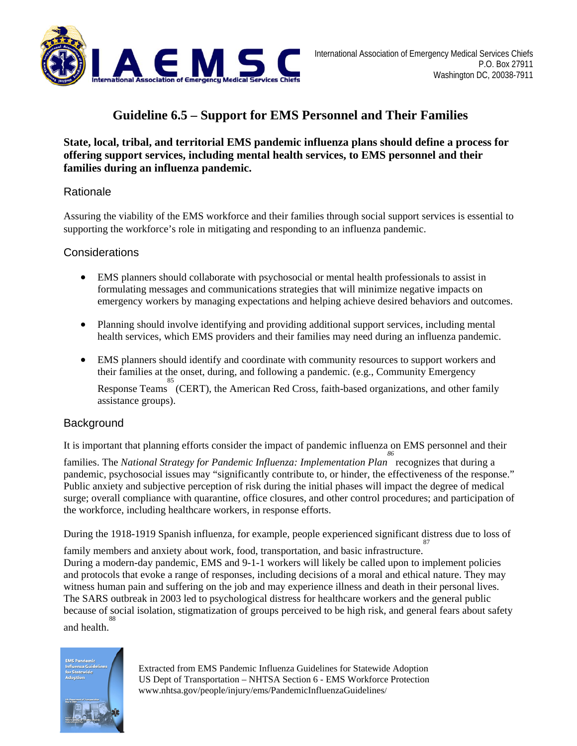

# **Guideline 6.5 – Support for EMS Personnel and Their Families**

#### **State, local, tribal, and territorial EMS pandemic influenza plans should define a process for offering support services, including mental health services, to EMS personnel and their families during an influenza pandemic.**

#### Rationale

Assuring the viability of the EMS workforce and their families through social support services is essential to supporting the workforce's role in mitigating and responding to an influenza pandemic.

#### **Considerations**

- EMS planners should collaborate with psychosocial or mental health professionals to assist in formulating messages and communications strategies that will minimize negative impacts on emergency workers by managing expectations and helping achieve desired behaviors and outcomes.
- Planning should involve identifying and providing additional support services, including mental health services, which EMS providers and their families may need during an influenza pandemic.
- EMS planners should identify and coordinate with community resources to support workers and their families at the onset, during, and following a pandemic. (e.g., Community Emergency Response Teams (CERT), the American Red Cross, faith-based organizations, and other family assistance groups).

## **Background**

It is important that planning efforts consider the impact of pandemic influenza on EMS personnel and their

families. The *National Strategy for Pandemic Influenza: Implementation Plan 86*  recognizes that during a pandemic, psychosocial issues may "significantly contribute to, or hinder, the effectiveness of the response." Public anxiety and subjective perception of risk during the initial phases will impact the degree of medical surge; overall compliance with quarantine, office closures, and other control procedures; and participation of the workforce, including healthcare workers, in response efforts.

During the 1918-1919 Spanish influenza, for example, people experienced significant distress due to loss of 87

family members and anxiety about work, food, transportation, and basic infrastructure. During a modern-day pandemic, EMS and 9-1-1 workers will likely be called upon to implement policies and protocols that evoke a range of responses, including decisions of a moral and ethical nature. They may witness human pain and suffering on the job and may experience illness and death in their personal lives. The SARS outbreak in 2003 led to psychological distress for healthcare workers and the general public because of social isolation, stigmatization of groups perceived to be high risk, and general fears about safety and health. 88

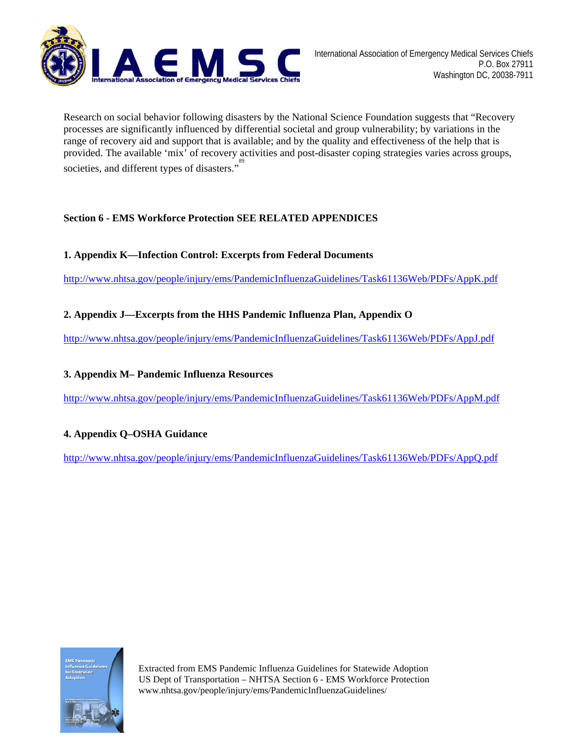

Research on social behavior following disasters by the National Science Foundation suggests that "Recovery processes are significantly influenced by differential societal and group vulnerability; by variations in the range of recovery aid and support that is available; and by the quality and effectiveness of the help that is provided. The available 'mix' of recovery activities and post-disaster coping strategies varies across groups, societies, and different types of disasters."<sup>89</sup>

#### **Section 6 - EMS Workforce Protection SEE RELATED APPENDICES**

#### **1. Appendix K—Infection Control: Excerpts from Federal Documents**

http://www.nhtsa.gov/people/injury/ems/PandemicInfluenzaGuidelines/Task61136Web/PDFs/AppK.pdf

#### **2. Appendix J—Excerpts from the HHS Pandemic Influenza Plan, Appendix O**

http://www.nhtsa.gov/people/injury/ems/PandemicInfluenzaGuidelines/Task61136Web/PDFs/AppJ.pdf

#### **3. Appendix M– Pandemic Influenza Resources**

http://www.nhtsa.gov/people/injury/ems/PandemicInfluenzaGuidelines/Task61136Web/PDFs/AppM.pdf

#### **4. Appendix Q–OSHA Guidance**

http://www.nhtsa.gov/people/injury/ems/PandemicInfluenzaGuidelines/Task61136Web/PDFs/AppQ.pdf

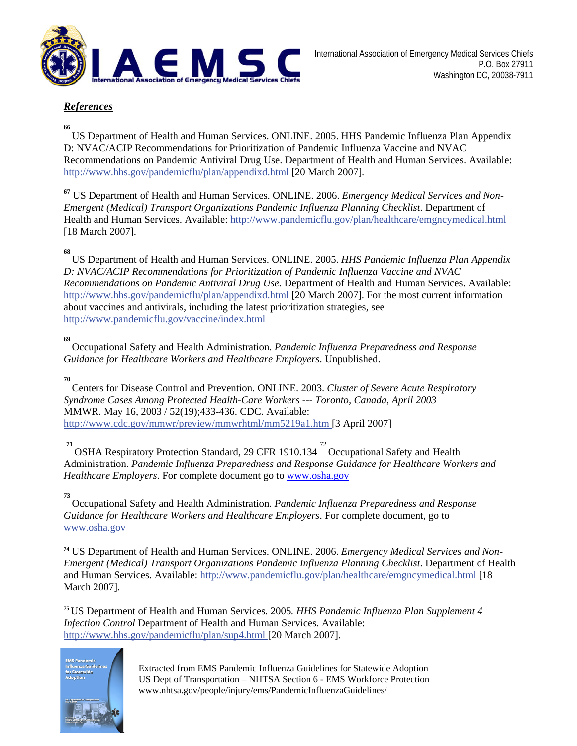

#### *References*

#### **66**

US Department of Health and Human Services. ONLINE. 2005. HHS Pandemic Influenza Plan Appendix D: NVAC/ACIP Recommendations for Prioritization of Pandemic Influenza Vaccine and NVAC Recommendations on Pandemic Antiviral Drug Use. Department of Health and Human Services. Available: http://www.hhs.gov/pandemicflu/plan/appendixd.html [20 March 2007].

**<sup>67</sup>** US Department of Health and Human Services. ONLINE. 2006. *Emergency Medical Services and Non-Emergent (Medical) Transport Organizations Pandemic Influenza Planning Checklist*. Department of Health and Human Services. Available: http://www.pandemicflu.gov/plan/healthcare/emgncymedical.html [18 March 2007].

#### **68**

US Department of Health and Human Services. ONLINE. 2005. *HHS Pandemic Influenza Plan Appendix D: NVAC/ACIP Recommendations for Prioritization of Pandemic Influenza Vaccine and NVAC Recommendations on Pandemic Antiviral Drug Use.* Department of Health and Human Services. Available: http://www.hhs.gov/pandemicflu/plan/appendixd.html [20 March 2007]. For the most current information about vaccines and antivirals, including the latest prioritization strategies, see http://www.pandemicflu.gov/vaccine/index.html

**69**  Occupational Safety and Health Administration. *Pandemic Influenza Preparedness and Response Guidance for Healthcare Workers and Healthcare Employers*. Unpublished.

**70**

Centers for Disease Control and Prevention. ONLINE. 2003. *Cluster of Severe Acute Respiratory Syndrome Cases Among Protected Health-Care Workers --- Toronto, Canada, April 2003*  MMWR. May 16, 2003 / 52(19);433-436. CDC. Available: http://www.cdc.gov/mmwr/preview/mmwrhtml/mm5219a1.htm [3 April 2007]

<sup>71</sup> OSHA Respiratory Protection Standard, 29 CFR 1910.134<sup>72</sup> Occupational Safety and Health Administration. *Pandemic Influenza Preparedness and Response Guidance for Healthcare Workers and Healthcare Employers*. For complete document go to www.osha.gov

#### **73**

Occupational Safety and Health Administration. *Pandemic Influenza Preparedness and Response Guidance for Healthcare Workers and Healthcare Employers*. For complete document, go to www.osha.gov

**74** US Department of Health and Human Services. ONLINE. 2006. *Emergency Medical Services and Non-Emergent (Medical) Transport Organizations Pandemic Influenza Planning Checklist*. Department of Health and Human Services. Available: http://www.pandemicflu.gov/plan/healthcare/emgncymedical.html [18 March 2007].

**<sup>75</sup>**US Department of Health and Human Services. 2005*. HHS Pandemic Influenza Plan Supplement 4 Infection Control* Department of Health and Human Services. Available: http://www.hhs.gov/pandemicflu/plan/sup4.html [20 March 2007].